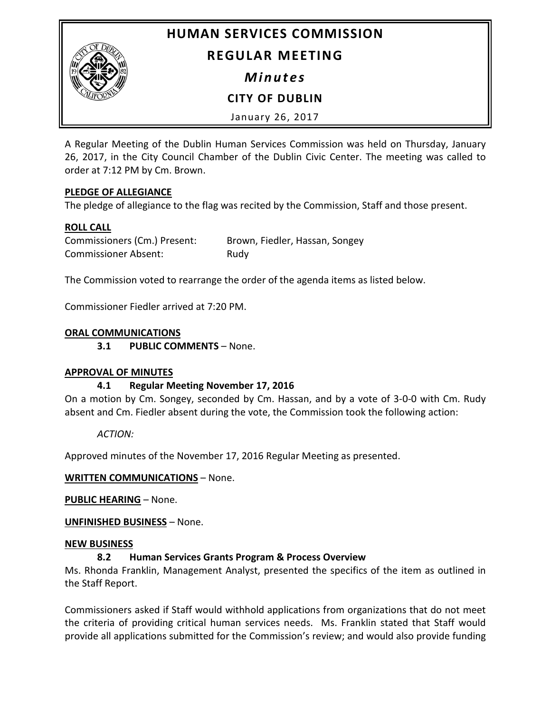

# **HUMAN SERVICES COMMISSION**

# **REGULAR MEETING**

*Minutes*

**CITY OF DUBLIN**

January 26, 2017

A Regular Meeting of the Dublin Human Services Commission was held on Thursday, January 26, 2017, in the City Council Chamber of the Dublin Civic Center. The meeting was called to order at 7:12 PM by Cm. Brown.

## **PLEDGE OF ALLEGIANCE**

The pledge of allegiance to the flag was recited by the Commission, Staff and those present.

# **ROLL CALL**

| Commissioners (Cm.) Present: | Brown, Fiedler, Hassan, Songey |
|------------------------------|--------------------------------|
| <b>Commissioner Absent:</b>  | Rudy                           |

The Commission voted to rearrange the order of the agenda items as listed below.

Commissioner Fiedler arrived at 7:20 PM.

## **ORAL COMMUNICATIONS**

**3.1 PUBLIC COMMENTS** – None.

## **APPROVAL OF MINUTES**

# **4.1 Regular Meeting November 17, 2016**

On a motion by Cm. Songey, seconded by Cm. Hassan, and by a vote of 3-0-0 with Cm. Rudy absent and Cm. Fiedler absent during the vote, the Commission took the following action:

*ACTION:*

Approved minutes of the November 17, 2016 Regular Meeting as presented.

# **WRITTEN COMMUNICATIONS** – None.

**PUBLIC HEARING** – None.

**UNFINISHED BUSINESS** – None.

## **NEW BUSINESS**

# **8.2 Human Services Grants Program & Process Overview**

Ms. Rhonda Franklin, Management Analyst, presented the specifics of the item as outlined in the Staff Report.

Commissioners asked if Staff would withhold applications from organizations that do not meet the criteria of providing critical human services needs. Ms. Franklin stated that Staff would provide all applications submitted for the Commission's review; and would also provide funding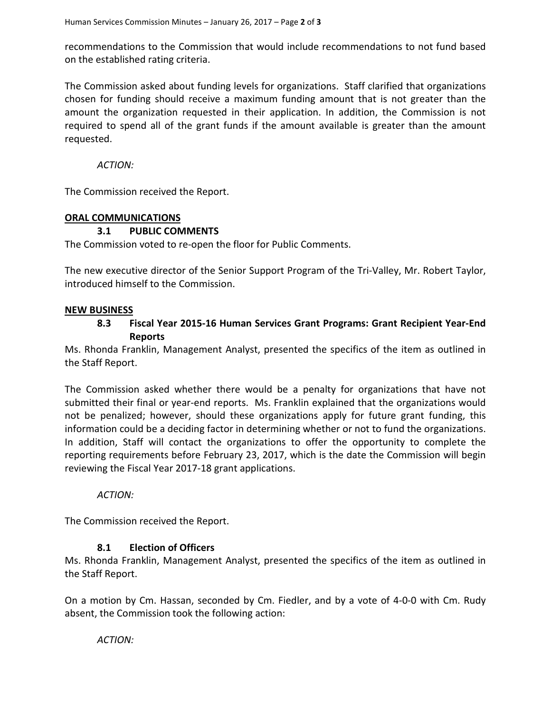recommendations to the Commission that would include recommendations to not fund based on the established rating criteria.

The Commission asked about funding levels for organizations. Staff clarified that organizations chosen for funding should receive a maximum funding amount that is not greater than the amount the organization requested in their application. In addition, the Commission is not required to spend all of the grant funds if the amount available is greater than the amount requested.

*ACTION:*

The Commission received the Report.

### **ORAL COMMUNICATIONS**

### **3.1 PUBLIC COMMENTS**

The Commission voted to re-open the floor for Public Comments.

The new executive director of the Senior Support Program of the Tri-Valley, Mr. Robert Taylor, introduced himself to the Commission.

### **NEW BUSINESS**

## **8.3 Fiscal Year 2015-16 Human Services Grant Programs: Grant Recipient Year-End Reports**

Ms. Rhonda Franklin, Management Analyst, presented the specifics of the item as outlined in the Staff Report.

The Commission asked whether there would be a penalty for organizations that have not submitted their final or year-end reports. Ms. Franklin explained that the organizations would not be penalized; however, should these organizations apply for future grant funding, this information could be a deciding factor in determining whether or not to fund the organizations. In addition, Staff will contact the organizations to offer the opportunity to complete the reporting requirements before February 23, 2017, which is the date the Commission will begin reviewing the Fiscal Year 2017-18 grant applications.

*ACTION:*

The Commission received the Report.

### **8.1 Election of Officers**

Ms. Rhonda Franklin, Management Analyst, presented the specifics of the item as outlined in the Staff Report.

On a motion by Cm. Hassan, seconded by Cm. Fiedler, and by a vote of 4-0-0 with Cm. Rudy absent, the Commission took the following action:

*ACTION:*